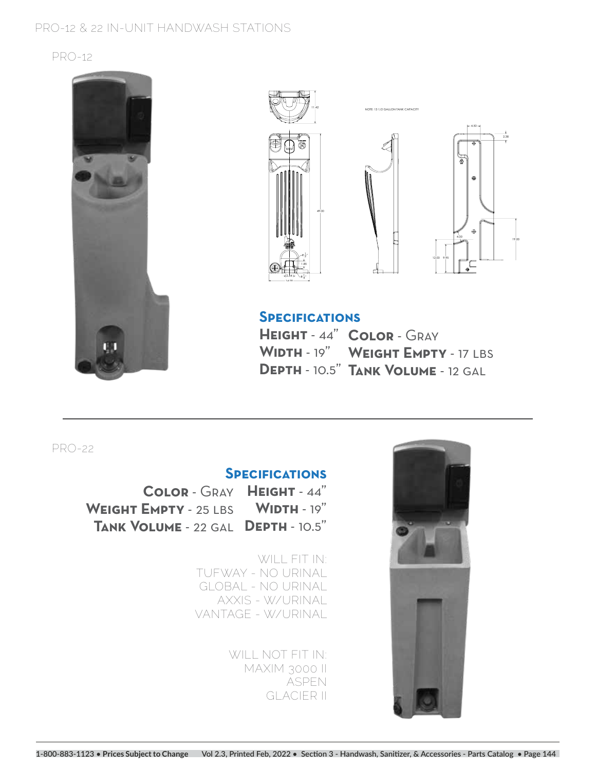#### **PRO-12 & 22 IN-UNIT HANDWASH STATIONS**

#### **PRO-12**









1.50 **Specifications**

**HEIGHT** - 44" **COLOR** - GRAY **Width** - 19" **Weight Empty** - 17 lbs **Depth** - 10.5" **Tank Volume** - 12 gal

**PRO-22**

# **Specifications**

COLOR - GRAY HEIGHT - 44" WEIGHT EMPTY - 25 LBS WIDTH - 19" **Depth** - 10.5" **Tank Volume** - 22 gal

> **WILL FIT IN: TUFWAY - NO URINAL GLOBAL - NO URINAL AXXIS - W/URINAL VANTAGE - W/URINAL**

> > **WILL NOT FIT IN: MAXIM 3000 II ASPEN GLACIER II**

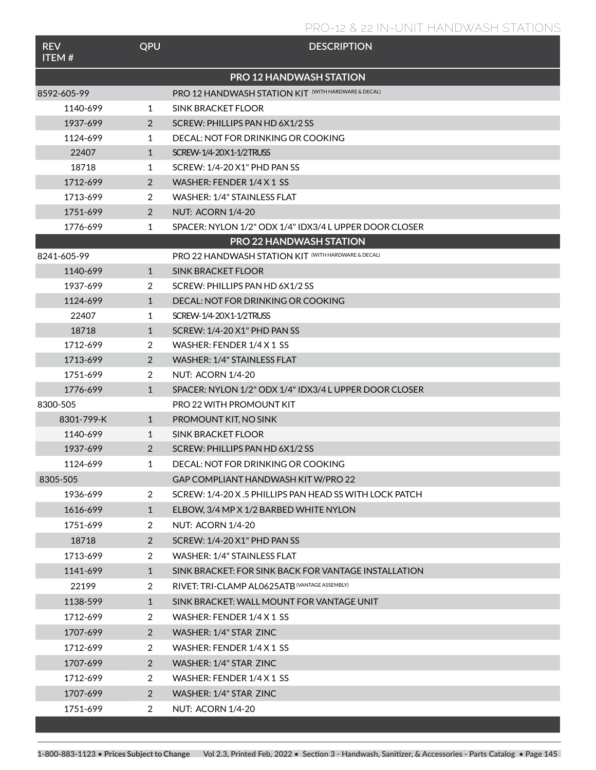### **PRO-12 & 22 IN-UNIT HANDWASH STATIONS**

| <b>REV</b><br><b>ITEM#</b>     | QPU            | <b>DESCRIPTION</b>                                      |  |  |  |  |
|--------------------------------|----------------|---------------------------------------------------------|--|--|--|--|
| <b>PRO 12 HANDWASH STATION</b> |                |                                                         |  |  |  |  |
| 8592-605-99                    |                | PRO 12 HANDWASH STATION KIT (WITH HARDWARE & DECAL)     |  |  |  |  |
| 1140-699                       | 1              | SINK BRACKET FLOOR                                      |  |  |  |  |
| 1937-699                       | 2              | SCREW: PHILLIPS PAN HD 6X1/2 SS                         |  |  |  |  |
| 1124-699                       | 1              | DECAL: NOT FOR DRINKING OR COOKING                      |  |  |  |  |
| 22407                          | $\mathbf{1}$   | SCREW-1/4-20X1-1/2TRUSS                                 |  |  |  |  |
| 18718                          | 1              | SCREW: 1/4-20 X1" PHD PAN SS                            |  |  |  |  |
| 1712-699                       | 2              | WASHER: FENDER 1/4 X 1 SS                               |  |  |  |  |
| 1713-699                       | 2              | WASHER: 1/4" STAINLESS FLAT                             |  |  |  |  |
| 1751-699                       | 2              | <b>NUT: ACORN 1/4-20</b>                                |  |  |  |  |
| 1776-699                       | 1              | SPACER: NYLON 1/2" ODX 1/4" IDX3/4 L UPPER DOOR CLOSER  |  |  |  |  |
|                                |                | <b>PRO 22 HANDWASH STATION</b>                          |  |  |  |  |
| 8241-605-99                    |                | PRO 22 HANDWASH STATION KIT (WITH HARDWARE & DECAL)     |  |  |  |  |
| 1140-699                       | $\mathbf{1}$   | <b>SINK BRACKET FLOOR</b>                               |  |  |  |  |
| 1937-699                       | 2              | SCREW: PHILLIPS PAN HD 6X1/2 SS                         |  |  |  |  |
| 1124-699                       | $\mathbf{1}$   | DECAL: NOT FOR DRINKING OR COOKING                      |  |  |  |  |
| 22407                          | 1              | SCREW-1/4-20X1-1/2TRUSS                                 |  |  |  |  |
| 18718                          | $\mathbf{1}$   | SCREW: 1/4-20 X1" PHD PAN SS                            |  |  |  |  |
| 1712-699                       | 2              | WASHER: FENDER 1/4 X 1 SS                               |  |  |  |  |
| 1713-699                       | 2              | WASHER: 1/4" STAINLESS FLAT                             |  |  |  |  |
| 1751-699                       | 2              | <b>NUT: ACORN 1/4-20</b>                                |  |  |  |  |
| 1776-699                       | $\mathbf{1}$   | SPACER: NYLON 1/2" ODX 1/4" IDX3/4 L UPPER DOOR CLOSER  |  |  |  |  |
| 8300-505                       |                | PRO 22 WITH PROMOUNT KIT                                |  |  |  |  |
| 8301-799-K                     | $\mathbf{1}$   | PROMOUNT KIT, NO SINK                                   |  |  |  |  |
| 1140-699                       | 1              | SINK BRACKET FLOOR                                      |  |  |  |  |
| 1937-699                       | 2              | SCREW: PHILLIPS PAN HD 6X1/2 SS                         |  |  |  |  |
| 1124-699                       | 1              | DECAL: NOT FOR DRINKING OR COOKING                      |  |  |  |  |
| 8305-505                       |                | GAP COMPLIANT HANDWASH KIT W/PRO 22                     |  |  |  |  |
| 1936-699                       | 2              | SCREW: 1/4-20 X .5 PHILLIPS PAN HEAD SS WITH LOCK PATCH |  |  |  |  |
| 1616-699                       | $\mathbf{1}$   | ELBOW, 3/4 MP X 1/2 BARBED WHITE NYLON                  |  |  |  |  |
| 1751-699                       | $\overline{2}$ | <b>NUT: ACORN 1/4-20</b>                                |  |  |  |  |
| 18718                          | 2              | SCREW: 1/4-20 X1" PHD PAN SS                            |  |  |  |  |
| 1713-699                       | 2              | WASHER: 1/4" STAINLESS FLAT                             |  |  |  |  |
| 1141-699                       | $\mathbf{1}$   | SINK BRACKET: FOR SINK BACK FOR VANTAGE INSTALLATION    |  |  |  |  |
| 22199                          | 2              | RIVET: TRI-CLAMP AL0625ATB (VANTAGE ASSEMBLY)           |  |  |  |  |
| 1138-599                       | $\mathbf{1}$   | SINK BRACKET: WALL MOUNT FOR VANTAGE UNIT               |  |  |  |  |
| 1712-699                       | 2              | WASHER: FENDER 1/4 X 1 SS                               |  |  |  |  |
| 1707-699                       | 2              | WASHER: 1/4" STAR ZINC                                  |  |  |  |  |
| 1712-699                       | 2              | WASHER: FENDER 1/4 X 1 SS                               |  |  |  |  |
| 1707-699                       | 2              | WASHER: 1/4" STAR ZINC                                  |  |  |  |  |
| 1712-699                       | $\overline{2}$ | WASHER: FENDER 1/4 X 1 SS                               |  |  |  |  |
| 1707-699                       | 2              | WASHER: 1/4" STAR ZINC                                  |  |  |  |  |
| 1751-699                       | $\overline{2}$ | NUT: ACORN 1/4-20                                       |  |  |  |  |
|                                |                |                                                         |  |  |  |  |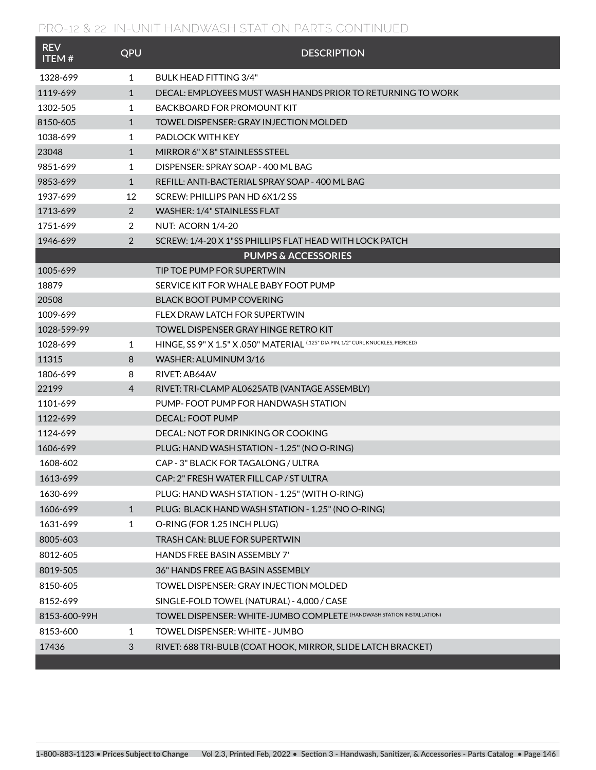## **PRO-12 & 22 IN-UNIT HANDWASH STATION PARTS CONTINUED**

| <b>REV</b><br><b>ITEM#</b> | QPU          | <b>DESCRIPTION</b>                                                                |
|----------------------------|--------------|-----------------------------------------------------------------------------------|
| 1328-699                   | $\mathbf{1}$ | BULK HEAD FITTING 3/4"                                                            |
| 1119-699                   | $\mathbf{1}$ | DECAL: EMPLOYEES MUST WASH HANDS PRIOR TO RETURNING TO WORK                       |
| 1302-505                   | $\mathbf{1}$ | BACKBOARD FOR PROMOUNT KIT                                                        |
| 8150-605                   | $\mathbf{1}$ | <b>TOWEL DISPENSER: GRAY INJECTION MOLDED</b>                                     |
| 1038-699                   | 1            | PADLOCK WITH KEY                                                                  |
| 23048                      | $\mathbf{1}$ | MIRROR 6" X 8" STAINLESS STEEL                                                    |
| 9851-699                   | $\mathbf{1}$ | DISPENSER: SPRAY SOAP - 400 ML BAG                                                |
| 9853-699                   | $\mathbf{1}$ | REFILL: ANTI-BACTERIAL SPRAY SOAP - 400 ML BAG                                    |
| 1937-699                   | 12           | SCREW: PHILLIPS PAN HD 6X1/2 SS                                                   |
| 1713-699                   | 2            | WASHER: 1/4" STAINLESS FLAT                                                       |
| 1751-699                   | 2            | <b>NUT: ACORN 1/4-20</b>                                                          |
| 1946-699                   | 2            | SCREW: 1/4-20 X 1"SS PHILLIPS FLAT HEAD WITH LOCK PATCH                           |
|                            |              | <b>PUMPS &amp; ACCESSORIES</b>                                                    |
| 1005-699                   |              | TIP TOE PUMP FOR SUPERTWIN                                                        |
| 18879                      |              | SERVICE KIT FOR WHALE BABY FOOT PUMP                                              |
| 20508                      |              | <b>BLACK BOOT PUMP COVERING</b>                                                   |
| 1009-699                   |              | FLEX DRAW LATCH FOR SUPERTWIN                                                     |
| 1028-599-99                |              | TOWEL DISPENSER GRAY HINGE RETRO KIT                                              |
| 1028-699                   | 1            | HINGE, SS 9" X 1.5" X .050" MATERIAL (.125" DIA PIN, 1/2" CURL KNUCKLES, PIERCED) |
| 11315                      | 8            | WASHER: ALUMINUM 3/16                                                             |
| 1806-699                   | 8            | RIVET: AB64AV                                                                     |
| 22199                      | 4            | RIVET: TRI-CLAMP AL0625ATB (VANTAGE ASSEMBLY)                                     |
| 1101-699                   |              | PUMP- FOOT PUMP FOR HANDWASH STATION                                              |
| 1122-699                   |              | <b>DECAL: FOOT PUMP</b>                                                           |
| 1124-699                   |              | DECAL: NOT FOR DRINKING OR COOKING                                                |
| 1606-699                   |              | PLUG: HAND WASH STATION - 1.25" (NO O-RING)                                       |
| 1608-602                   |              | CAP - 3" BLACK FOR TAGALONG / ULTRA                                               |
| 1613-699                   |              | CAP: 2" FRESH WATER FILL CAP / ST ULTRA                                           |
| 1630-699                   |              | PLUG: HAND WASH STATION - 1.25" (WITH O-RING)                                     |
| 1606-699                   | $\mathbf{1}$ | PLUG: BLACK HAND WASH STATION - 1.25" (NO O-RING)                                 |
| 1631-699                   | $\mathbf 1$  | O-RING (FOR 1.25 INCH PLUG)                                                       |
| 8005-603                   |              | TRASH CAN: BLUE FOR SUPERTWIN                                                     |
| 8012-605                   |              | HANDS FREE BASIN ASSEMBLY 7'                                                      |
| 8019-505                   |              | 36" HANDS FREE AG BASIN ASSEMBLY                                                  |
| 8150-605                   |              | TOWEL DISPENSER: GRAY INJECTION MOLDED                                            |
| 8152-699                   |              | SINGLE-FOLD TOWEL (NATURAL) - 4,000 / CASE                                        |
| 8153-600-99H               |              | TOWEL DISPENSER: WHITE-JUMBO COMPLETE (HANDWASH STATION INSTALLATION)             |
| 8153-600                   | 1            | TOWEL DISPENSER: WHITE - JUMBO                                                    |
| 17436                      | $\sqrt{3}$   | RIVET: 688 TRI-BULB (COAT HOOK, MIRROR, SLIDE LATCH BRACKET)                      |